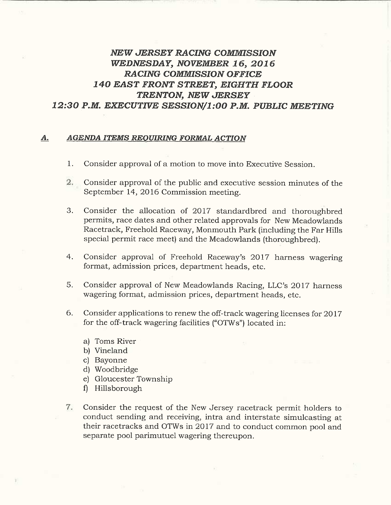## NEW JERSEY RACING COMMISSION WEDNESDAY, NOVEMBER 16, 2016 RACING COMMISSION OFFICE I40 EAST FRONT STREET, EIGHTH FLOOR TRENTON, NEW JERSEY 12:30 P.M. EXECUTIVE SESSION/1:00 P.M. PUBLIC MEETING

## A. AGENDA ITEMS REQUIRING FORMAL ACTION

- 1. Consider approval of a motion to move into Executive Session.
- 2. Consider approval of the public and executive session minutes of the September 14, 2016 Commission meeting.
- 3. Consider the allocation of 2017 standardbred and thoroughbred permits, race dates and other related approvals for New Meadowlands Racetrack, Freehold Raceway, Monmouth Park (including the Far Hills special permit race meet) and the Meadowlands (thoroughbred).
- 4. Consider approval of Freehold Raceway's 2017 harness wagering format, admission prices, department heads, etc.
- S. Consider approval of New Meadowlands Racing, LLC's 2017 harness wagering format, admission prices, department heads, etc.
- 6. Consider applications to renew the off-track wagering licenses for 2017 for the off-track wagering facilities ("OTWs") located in:
	- a) Toms River
	- b) Vineland
	- c) Bayonne
	- d) Woodbridge
	- e) Gloucester Township
	- fl Hillsborough
- 7. Consider the request of the New Jersey racetrack permit holders to conduct sending and receiving, intra and interstate simulcasting at their racetracks and OTWs in 2017 and to conduct common pool and separate pool parimutuel wagering thereupon.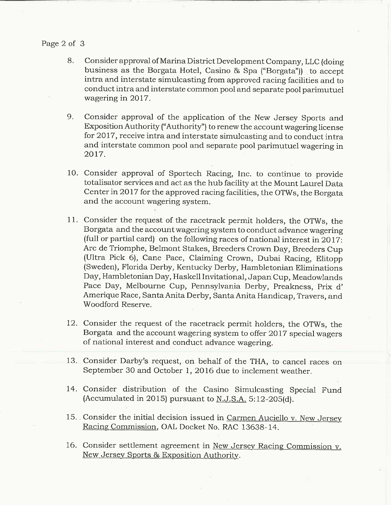## Page 2 of 3

- 8. Consider approval of Marina District Development Company, LLC (doing business as the Borgata Hotel, Casino & Spa ("Borgata")) to accept intra and interstate simulcasting from approved racing facilities and to conduct intra and interstate common pool and separate pool parimutuel wagering in 2017.
- 9. Consider approval of the application of the New Jersey Sports and Exposition Authority ("Authority') to renew the account wagering license for 2017, receive intra and interstate simulcasting and to conduct intra and interstate common pool and separate pool parimutuel wagering in 2017.
- 10. Consider approval of Sportech Racing, Inc. to continue to provide totalisator services and act as the hub facility at the Mount Laurel Data Center in 2017 for the approved racing facilities, the OTWs, the Borgata and the account wagering system.
- 11. Consider the request of the racetrack permit holders, the OTWs, the Borgata and the account wagering system to conduct advance wagering (full or partial card) on the following races of national interest in 2017: Arc de Triomphe, Belmont Stakes, Breeders Crown Day, Breeders Cup (Ultra Pick 6), Cane Pace, Claiming Crown, Dubai Racing, Elitopp (Sweden), Florida Derby, Kentucky Derby, Hambletonian Eliminations Day, Hambletonian Day, Haskell Invitational, Japan Cup, Meadowlands Pace Day, Melbourne Cup, Pennsylvania Derby, Preakness, Prix d' Amerique Race, Santa Anita Derby, Santa Anita Handicap, Travers, and Woodford Reserve.
- 12. Consider the request of the racetrack permit holders, the OTWs, the Borgata and the account wagering system to offer 2017 special wagers of national interest and conduct advance wagering.
- 13. Consider Darby's request, on behalf of the THA, to cancel races on September 30 and October 1, 2016 due to inclement weather.
- 14. Consider distribution of the Casino Simulcasting Special Fund (Accumulated in 2015) pursuant to N.J.S.A. 5:12-205(d).
- 15. Consider the initial decision issued in Carmen Auciello v. New Jersey Racing Commission, OAL Docket No. RAC 13638-14.
- 16. Consider settlement agreement in New Jersey Racing Commission v. New Jersey Sports & Exposition Authority.